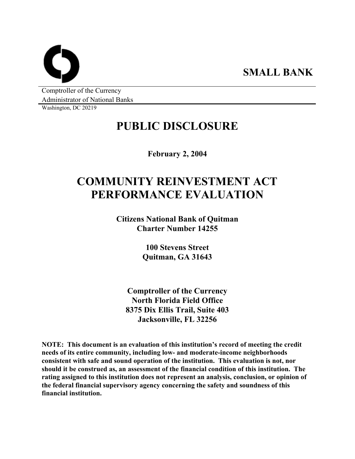**SMALL BANK** 

Comptroller of the Currency Administrator of National Banks

Washington, DC 20219

## **PUBLIC DISCLOSURE**

**February 2, 2004** 

# **COMMUNITY REINVESTMENT ACT PERFORMANCE EVALUATION**

**Citizens National Bank of Quitman Charter Number 14255** 

> **100 Stevens Street Quitman, GA 31643**

**Comptroller of the Currency North Florida Field Office 8375 Dix Ellis Trail, Suite 403 Jacksonville, FL 32256** 

**NOTE: This document is an evaluation of this institution's record of meeting the credit needs of its entire community, including low- and moderate-income neighborhoods consistent with safe and sound operation of the institution. This evaluation is not, nor should it be construed as, an assessment of the financial condition of this institution. The rating assigned to this institution does not represent an analysis, conclusion, or opinion of the federal financial supervisory agency concerning the safety and soundness of this financial institution.**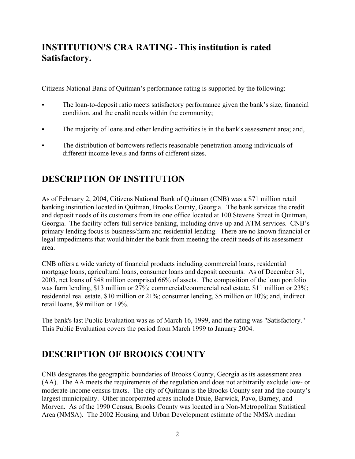### **INSTITUTION'S CRA RATING - This institution is rated Satisfactory.**

Citizens National Bank of Quitman's performance rating is supported by the following:

- The loan-to-deposit ratio meets satisfactory performance given the bank's size, financial condition, and the credit needs within the community;
- The majority of loans and other lending activities is in the bank's assessment area; and,
- The distribution of borrowers reflects reasonable penetration among individuals of different income levels and farms of different sizes.

## **DESCRIPTION OF INSTITUTION**

As of February 2, 2004, Citizens National Bank of Quitman (CNB) was a \$71 million retail banking institution located in Quitman, Brooks County, Georgia. The bank services the credit and deposit needs of its customers from its one office located at 100 Stevens Street in Quitman, Georgia. The facility offers full service banking, including drive-up and ATM services. CNB's primary lending focus is business/farm and residential lending. There are no known financial or legal impediments that would hinder the bank from meeting the credit needs of its assessment area.

CNB offers a wide variety of financial products including commercial loans, residential mortgage loans, agricultural loans, consumer loans and deposit accounts. As of December 31, 2003, net loans of \$48 million comprised 66% of assets. The composition of the loan portfolio was farm lending, \$13 million or 27%; commercial/commercial real estate, \$11 million or 23%; residential real estate, \$10 million or 21%; consumer lending, \$5 million or 10%; and, indirect retail loans, \$9 million or 19%.

The bank's last Public Evaluation was as of March 16, 1999, and the rating was "Satisfactory." This Public Evaluation covers the period from March 1999 to January 2004.

## **DESCRIPTION OF BROOKS COUNTY**

CNB designates the geographic boundaries of Brooks County, Georgia as its assessment area (AA). The AA meets the requirements of the regulation and does not arbitrarily exclude low- or moderate-income census tracts. The city of Quitman is the Brooks County seat and the county's largest municipality. Other incorporated areas include Dixie, Barwick, Pavo, Barney, and Morven. As of the 1990 Census, Brooks County was located in a Non-Metropolitan Statistical Area (NMSA). The 2002 Housing and Urban Development estimate of the NMSA median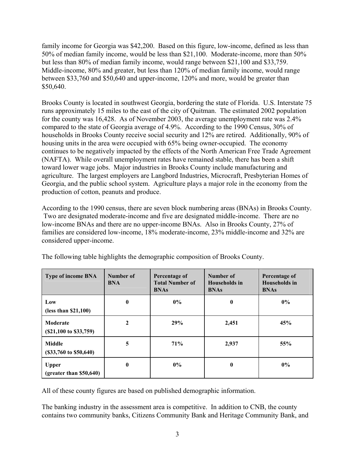family income for Georgia was \$42,200. Based on this figure, low-income, defined as less than 50% of median family income, would be less than \$21,100. Moderate-income, more than 50% but less than 80% of median family income, would range between \$21,100 and \$33,759. Middle-income, 80% and greater, but less than 120% of median family income, would range between \$33,760 and \$50,640 and upper-income, 120% and more, would be greater than \$50,640.

Brooks County is located in southwest Georgia, bordering the state of Florida. U.S. Interstate 75 runs approximately 15 miles to the east of the city of Quitman. The estimated 2002 population for the county was 16,428. As of November 2003, the average unemployment rate was 2.4% compared to the state of Georgia average of 4.9%. According to the 1990 Census, 30% of households in Brooks County receive social security and 12% are retired. Additionally, 90% of housing units in the area were occupied with 65% being owner-occupied. The economy continues to be negatively impacted by the effects of the North American Free Trade Agreement (NAFTA). While overall unemployment rates have remained stable, there has been a shift toward lower wage jobs. Major industries in Brooks County include manufacturing and agriculture. The largest employers are Langbord Industries, Microcraft, Presbyterian Homes of Georgia, and the public school system. Agriculture plays a major role in the economy from the production of cotton, peanuts and produce.

According to the 1990 census, there are seven block numbering areas (BNAs) in Brooks County. Two are designated moderate-income and five are designated middle-income. There are no low-income BNAs and there are no upper-income BNAs. Also in Brooks County, 27% of families are considered low-income, 18% moderate-income, 23% middle-income and 32% are considered upper-income.

| <b>Type of income BNA</b>                   | Number of<br><b>BNA</b> | Percentage of<br><b>Total Number of</b><br><b>BNAs</b> | Number of<br><b>Households</b> in<br><b>BNAs</b> | Percentage of<br><b>Households</b> in<br><b>BNAs</b> |
|---------------------------------------------|-------------------------|--------------------------------------------------------|--------------------------------------------------|------------------------------------------------------|
| Low<br>(less than \$21,100)                 | $\bf{0}$                | $0\%$                                                  | $\bf{0}$                                         | $0\%$                                                |
| Moderate<br>$(S21,100 \text{ to } S33,759)$ | $\mathbf{2}$            | 29%                                                    | 2,451                                            | 45%                                                  |
| Middle<br>(\$33,760\$ to \$50,640)          | 5                       | 71%                                                    | 2,937                                            | 55%                                                  |
| <b>Upper</b><br>(greatest than \$50,640)    | $\bf{0}$                | $0\%$                                                  | $\bf{0}$                                         | $0\%$                                                |

The following table highlights the demographic composition of Brooks County.

All of these county figures are based on published demographic information.

The banking industry in the assessment area is competitive. In addition to CNB, the county contains two community banks, Citizens Community Bank and Heritage Community Bank, and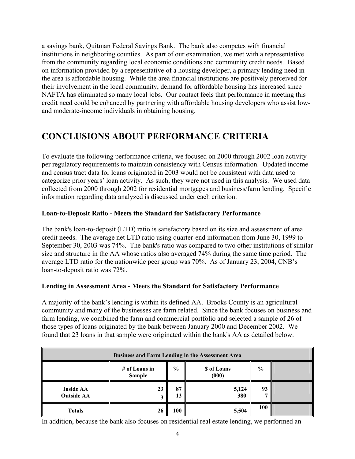a savings bank, Quitman Federal Savings Bank. The bank also competes with financial institutions in neighboring counties. As part of our examination, we met with a representative from the community regarding local economic conditions and community credit needs. Based on information provided by a representative of a housing developer, a primary lending need in the area is affordable housing. While the area financial institutions are positively perceived for their involvement in the local community, demand for affordable housing has increased since NAFTA has eliminated so many local jobs. Our contact feels that performance in meeting this credit need could be enhanced by partnering with affordable housing developers who assist lowand moderate-income individuals in obtaining housing.

### **CONCLUSIONS ABOUT PERFORMANCE CRITERIA**

To evaluate the following performance criteria, we focused on 2000 through 2002 loan activity per regulatory requirements to maintain consistency with Census information. Updated income and census tract data for loans originated in 2003 would not be consistent with data used to categorize prior years' loan activity. As such, they were not used in this analysis. We used data collected from 2000 through 2002 for residential mortgages and business/farm lending. Specific information regarding data analyzed is discussed under each criterion.

### **Loan-to-Deposit Ratio - Meets the Standard for Satisfactory Performance**

The bank's loan-to-deposit (LTD) ratio is satisfactory based on its size and assessment of area credit needs. The average net LTD ratio using quarter-end information from June 30, 1999 to September 30, 2003 was 74%. The bank's ratio was compared to two other institutions of similar size and structure in the AA whose ratios also averaged 74% during the same time period. The average LTD ratio for the nationwide peer group was 70%. As of January 23, 2004, CNB's loan-to-deposit ratio was 72%.

### **Lending in Assessment Area - Meets the Standard for Satisfactory Performance**

A majority of the bank's lending is within its defined AA. Brooks County is an agricultural community and many of the businesses are farm related. Since the bank focuses on business and farm lending, we combined the farm and commercial portfolio and selected a sample of 26 of those types of loans originated by the bank between January 2000 and December 2002. We found that 23 loans in that sample were originated within the bank's AA as detailed below.

| <b>Business and Farm Lending in the Assessment Area</b> |                                |               |                            |               |  |
|---------------------------------------------------------|--------------------------------|---------------|----------------------------|---------------|--|
|                                                         | # of Loans in<br><b>Sample</b> | $\frac{0}{0}$ | <b>S</b> of Loans<br>(000) | $\frac{6}{9}$ |  |
| <b>Inside AA</b><br><b>Outside AA</b>                   | 23                             | 87<br>13      | 5,124<br>380               | 93            |  |
| <b>Totals</b>                                           | 26                             | 100           | 5,504                      | 100           |  |

In addition, because the bank also focuses on residential real estate lending, we performed an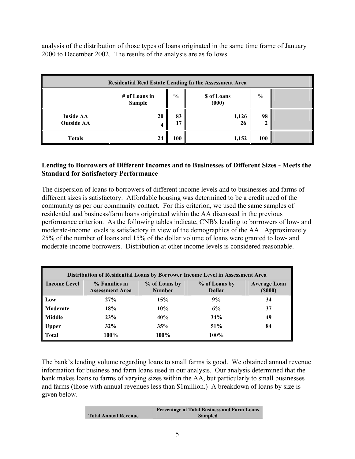analysis of the distribution of those types of loans originated in the same time frame of January 2000 to December 2002. The results of the analysis are as follows.

| <b>Residential Real Estate Lending In the Assessment Area</b> |                                |               |                      |               |  |
|---------------------------------------------------------------|--------------------------------|---------------|----------------------|---------------|--|
|                                                               | # of Loans in<br><b>Sample</b> | $\frac{0}{0}$ | \$ of Loans<br>(000) | $\frac{0}{0}$ |  |
| <b>Inside AA</b><br><b>Outside AA</b>                         | 20                             | 83            | 1,126<br>26          | 98            |  |
| <b>Totals</b>                                                 | 24                             | 100           | 1,152                | 100           |  |

#### **Lending to Borrowers of Different Incomes and to Businesses of Different Sizes - Meets the Standard for Satisfactory Performance**

The dispersion of loans to borrowers of different income levels and to businesses and farms of different sizes is satisfactory. Affordable housing was determined to be a credit need of the community as per our community contact. For this criterion, we used the same samples of residential and business/farm loans originated within the AA discussed in the previous performance criterion. As the following tables indicate, CNB's lending to borrowers of low- and moderate-income levels is satisfactory in view of the demographics of the AA. Approximately 25% of the number of loans and 15% of the dollar volume of loans were granted to low- and moderate-income borrowers. Distribution at other income levels is considered reasonable.

| Distribution of Residential Loans by Borrower Income Level in Assessment Area |                                         |                                |                                |                                      |  |  |
|-------------------------------------------------------------------------------|-----------------------------------------|--------------------------------|--------------------------------|--------------------------------------|--|--|
| <b>Income Level</b>                                                           | % Families in<br><b>Assessment Area</b> | % of Loans by<br><b>Number</b> | % of Loans by<br><b>Dollar</b> | <b>Average Loan</b><br>$($ \$000 $)$ |  |  |
| Low                                                                           | 27%                                     | 15%                            | 9%                             | 34                                   |  |  |
| Moderate                                                                      | 18%                                     | 10%                            | 6%                             | 37                                   |  |  |
| Middle                                                                        | 23%                                     | 40%                            | 34%                            | 49                                   |  |  |
| <b>Upper</b>                                                                  | 32%                                     | 35%                            | 51%                            | 84                                   |  |  |
| <b>Total</b>                                                                  | 100%                                    | 100%                           | 100%                           |                                      |  |  |

The bank's lending volume regarding loans to small farms is good. We obtained annual revenue information for business and farm loans used in our analysis. Our analysis determined that the bank makes loans to farms of varying sizes within the AA, but particularly to small businesses and farms (those with annual revenues less than \$1million.) A breakdown of loans by size is given below.

|                             | <b>Percentage of Total Business and Farm Loans</b> |
|-----------------------------|----------------------------------------------------|
| <b>Total Annual Revenue</b> | <b>Sampled</b>                                     |